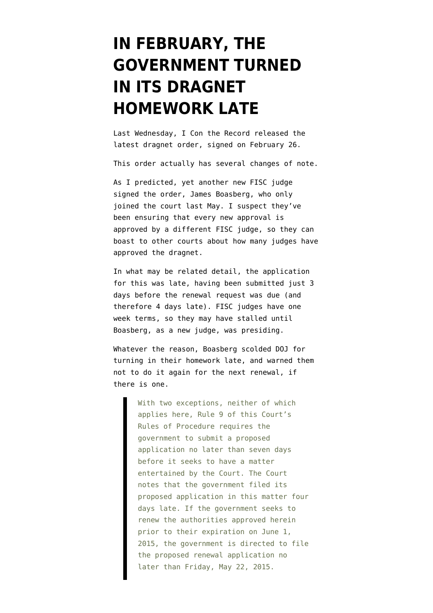## **[IN FEBRUARY, THE](https://www.emptywheel.net/2015/03/17/in-february-the-government-turned-in-its-dragnet-homework-late/) [GOVERNMENT TURNED](https://www.emptywheel.net/2015/03/17/in-february-the-government-turned-in-its-dragnet-homework-late/) [IN ITS DRAGNET](https://www.emptywheel.net/2015/03/17/in-february-the-government-turned-in-its-dragnet-homework-late/) [HOMEWORK LATE](https://www.emptywheel.net/2015/03/17/in-february-the-government-turned-in-its-dragnet-homework-late/)**

Last Wednesday, I Con the Record [released](https://www.emptywheel.net/wp-content/uploads/2015/03/150226-Section-215-order.pdf) the latest dragnet order, signed on February 26.

This order actually has several changes of note.

As I predicted, yet another new FISC judge signed the order, James Boasberg, who only joined the court last May. I suspect they've been ensuring that every new approval is approved by a different FISC judge, so they can boast to other courts about how many judges have approved the dragnet.

In what may be related detail, the application for this was late, having been submitted just 3 days before the renewal request was due (and therefore 4 days late). FISC judges have one week terms, so they may have stalled until Boasberg, as a new judge, was presiding.

Whatever the reason, Boasberg scolded DOJ for turning in their homework late, and warned them not to do it again for the next renewal, if there is one.

> With two exceptions, neither of which applies here, Rule 9 of this Court's Rules of Procedure requires the government to submit a proposed application no later than seven days before it seeks to have a matter entertained by the Court. The Court notes that the government filed its proposed application in this matter four days late. If the government seeks to renew the authorities approved herein prior to their expiration on June 1, 2015, the government is directed to file the proposed renewal application no later than Friday, May 22, 2015.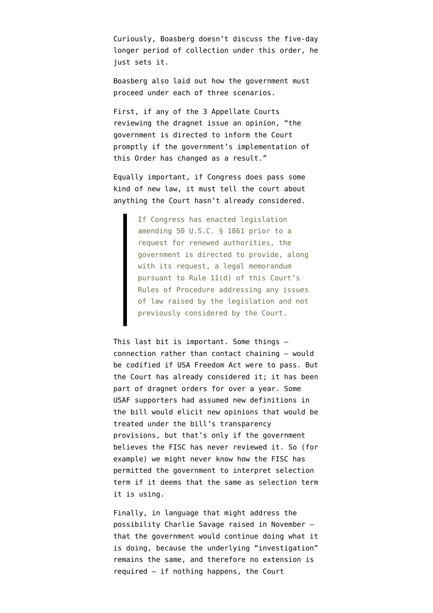Curiously, Boasberg doesn't discuss the five-day longer period of collection under this order, he just sets it.

Boasberg also laid out how the government must proceed under each of three scenarios.

First, if any of the 3 Appellate Courts reviewing the dragnet issue an opinion, "the government is directed to inform the Court promptly if the government's implementation of this Order has changed as a result."

Equally important, if Congress does pass some kind of new law, it must tell the court about anything the Court hasn't already considered.

> If Congress has enacted legislation amending 50 U.S.C. § 1861 prior to a request for renewed authorities, the government is directed to provide, along with its request, a legal memorandum pursuant to Rule 11(d) of this Court's Rules of Procedure addressing any issues of law raised by the legislation and not previously considered by the Court.

This last bit is important. Some things connection rather than contact chaining — would be codified if USA Freedom Act were to pass. But the Court has already considered it; it has been part of dragnet orders for over a year. Some USAF supporters had assumed new definitions in the bill would elicit new opinions that would be treated under the bill's transparency provisions, but that's only if the government believes the FISC has never reviewed it. So (for example) we might never know how the FISC has permitted the government to interpret selection term if it deems that the same as selection term it is using.

Finally, in language that might address the possibility [Charlie Savage raised in November](http://www.nytimes.com/2014/11/20/us/politics/nsa-phone-data-collection-could-go-on-even-if-a-law-expires.html?_r=0) that the government would continue doing what it is doing, because the underlying "investigation" remains the same, and therefore no extension is required — if nothing happens, the Court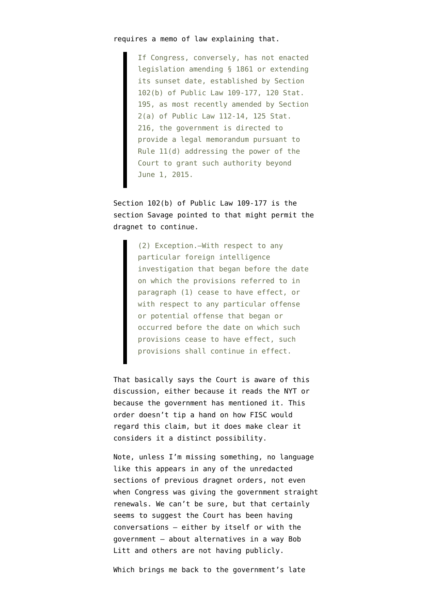If Congress, conversely, has not enacted legislation amending § 1861 or extending its sunset date, established by Section 102(b) of Public Law 109-177, 120 Stat. 195, as most recently amended by Section 2(a) of Public Law 112-14, 125 Stat. 216, the government is directed to provide a legal memorandum pursuant to Rule 11(d) addressing the power of the Court to grant such authority beyond June 1, 2015.

Section 102(b) of [Public Law 109-177](http://www.gpo.gov/fdsys/pkg/PLAW-109publ177/html/PLAW-109publ177.htm) is the section Savage pointed to that might permit the dragnet to continue.

> (2) Exception.–With respect to any particular foreign intelligence investigation that began before the date on which the provisions referred to in paragraph (1) cease to have effect, or with respect to any particular offense or potential offense that began or occurred before the date on which such provisions cease to have effect, such provisions shall continue in effect.

That basically says the Court is aware of this discussion, either because it reads the NYT or because the government has mentioned it. This order doesn't tip a hand on how FISC would regard this claim, but it does make clear it considers it a distinct possibility.

Note, unless I'm missing something, no language like this appears in any of the unredacted sections of previous dragnet orders, not even when Congress was giving the government straight renewals. We can't be sure, but that certainly seems to suggest the Court has been having conversations — either by itself or with the government — about alternatives in a way Bob Litt and others are not having publicly.

Which brings me back to the government's late